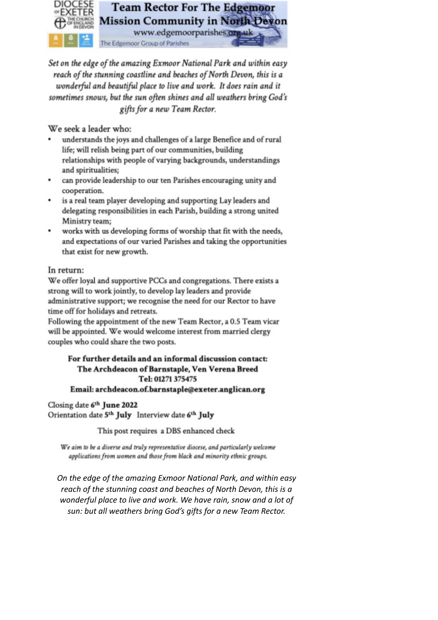

Set on the edge of the amazing Exmoor National Park and within easy reach of the stunning coastline and beaches of North Devon, this is a wonderful and beautiful place to live and work. It does rain and it sometimes snows, but the sun often shines and all weathers bring God's gifts for a new Team Rector.

We seek a leader who:

- understands the joys and challenges of a large Benefice and of rural life; will relish being part of our communities, building relationships with people of varying backgrounds, understandings and spiritualities;
- can provide leadership to our ten Parishes encouraging unity and cooperation.
- is a real team player developing and supporting Lay leaders and delegating responsibilities in each Parish, building a strong united Ministry team;
- works with us developing forms of worship that fit with the needs, and expectations of our varied Parishes and taking the opportunities that exist for new growth.

## In return:

We offer loval and supportive PCCs and congregations. There exists a strong will to work jointly, to develop lay leaders and provide administrative support; we recognise the need for our Rector to have time off for holidays and retreats.

Following the appointment of the new Team Rector, a 0.5 Team vicar will be appointed. We would welcome interest from married clergy couples who could share the two posts.

# For further details and an informal discussion contact: The Archdeacon of Barnstaple, Ven Verena Breed Tel: 01271 375475

#### Email: archdeacon.of.barnstaple@exeter.anglican.org

Closing date 6th June 2022 Orientation date 5th July Interview date 6th July

This post requires a DBS enhanced check

We aim to be a diverse and truly representative diocese, and particularly welcome applications from women and those from black and minority ethnic groups.

On the edge of the amazing Exmoor National Park, and within easy reach of the stunning coast and beaches of North Devon, this is a wonderful place to live and work. We have rain, snow and a lot of sun: but all weathers bring God's gifts for a new Team Rector.